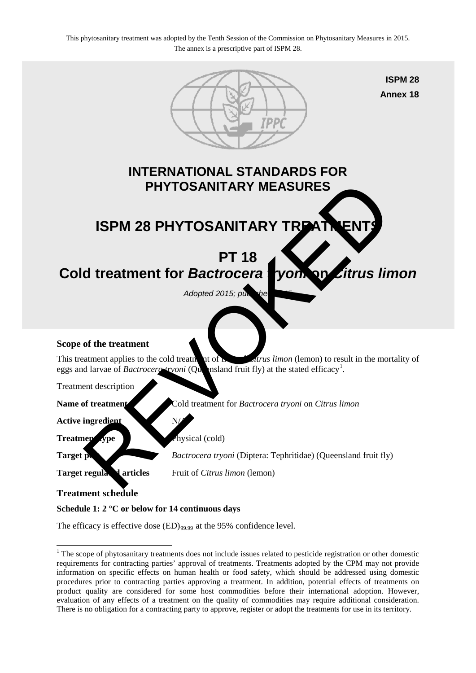

# **Schedule 1: 2 °C or below for 14 continuous days**

The efficacy is effective dose (ED)<sub>99.99</sub> at the 95% confidence level.

<span id="page-0-0"></span><sup>&</sup>lt;sup>1</sup> The scope of phytosanitary treatments does not include issues related to pesticide registration or other domestic requirements for contracting parties' approval of treatments. Treatments adopted by the CPM may not provide information on specific effects on human health or food safety, which should be addressed using domestic procedures prior to contracting parties approving a treatment. In addition, potential effects of treatments on product quality are considered for some host commodities before their international adoption. However, evaluation of any effects of a treatment on the quality of commodities may require additional consideration. There is no obligation for a contracting party to approve, register or adopt the treatments for use in its territory. <u>.</u>